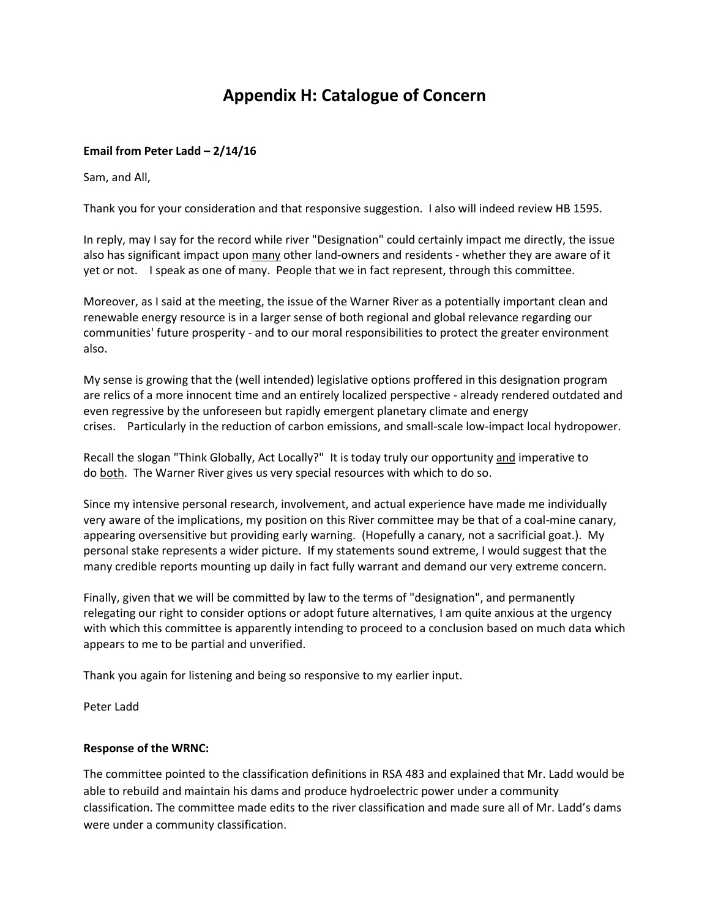# **Appendix H: Catalogue of Concern**

# **Email from Peter Ladd – 2/14/16**

Sam, and All,

Thank you for your consideration and that responsive suggestion. I also will indeed review HB 1595.

In reply, may I say for the record while river "Designation" could certainly impact me directly, the issue also has significant impact upon many other land-owners and residents - whether they are aware of it yet or not. I speak as one of many. People that we in fact represent, through this committee.

Moreover, as I said at the meeting, the issue of the Warner River as a potentially important clean and renewable energy resource is in a larger sense of both regional and global relevance regarding our communities' future prosperity - and to our moral responsibilities to protect the greater environment also.

My sense is growing that the (well intended) legislative options proffered in this designation program are relics of a more innocent time and an entirely localized perspective - already rendered outdated and even regressive by the unforeseen but rapidly emergent planetary climate and energy crises. Particularly in the reduction of carbon emissions, and small-scale low-impact local hydropower.

Recall the slogan "Think Globally, Act Locally?" It is today truly our opportunity and imperative to do both. The Warner River gives us very special resources with which to do so.

Since my intensive personal research, involvement, and actual experience have made me individually very aware of the implications, my position on this River committee may be that of a coal-mine canary, appearing oversensitive but providing early warning. (Hopefully a canary, not a sacrificial goat.). My personal stake represents a wider picture. If my statements sound extreme, I would suggest that the many credible reports mounting up daily in fact fully warrant and demand our very extreme concern.

Finally, given that we will be committed by law to the terms of "designation", and permanently relegating our right to consider options or adopt future alternatives, I am quite anxious at the urgency with which this committee is apparently intending to proceed to a conclusion based on much data which appears to me to be partial and unverified.

Thank you again for listening and being so responsive to my earlier input.

Peter Ladd

# **Response of the WRNC:**

The committee pointed to the classification definitions in RSA 483 and explained that Mr. Ladd would be able to rebuild and maintain his dams and produce hydroelectric power under a community classification. The committee made edits to the river classification and made sure all of Mr. Ladd's dams were under a community classification.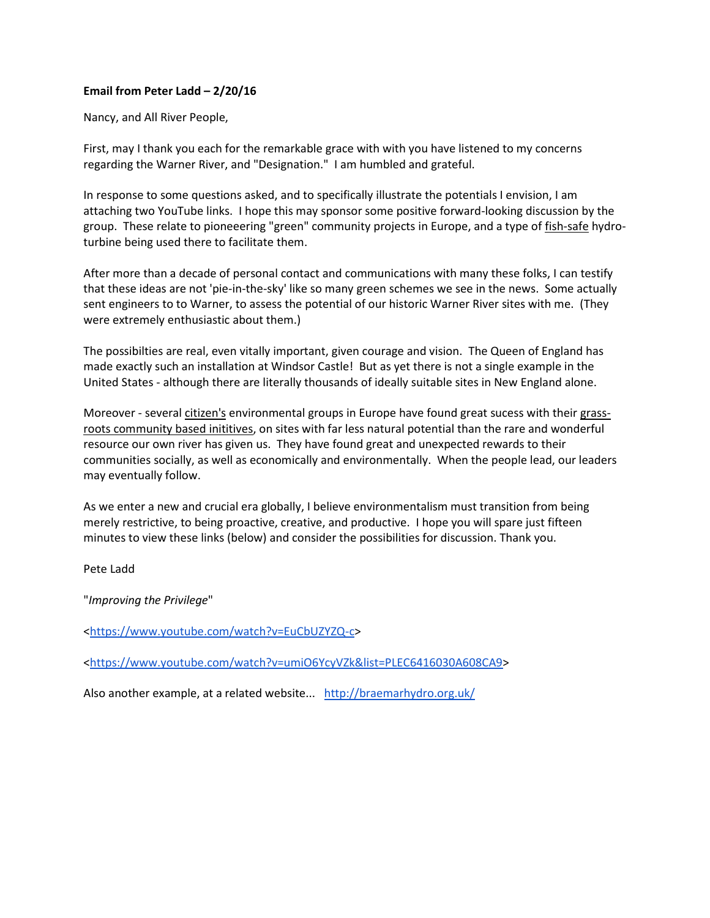# **Email from Peter Ladd – 2/20/16**

Nancy, and All River People,

First, may I thank you each for the remarkable grace with with you have listened to my concerns regarding the Warner River, and "Designation." I am humbled and grateful.

In response to some questions asked, and to specifically illustrate the potentials I envision, I am attaching two YouTube links. I hope this may sponsor some positive forward-looking discussion by the group. These relate to pioneeering "green" community projects in Europe, and a type of fish-safe hydroturbine being used there to facilitate them.

After more than a decade of personal contact and communications with many these folks, I can testify that these ideas are not 'pie-in-the-sky' like so many green schemes we see in the news. Some actually sent engineers to to Warner, to assess the potential of our historic Warner River sites with me. (They were extremely enthusiastic about them.)

The possibilties are real, even vitally important, given courage and vision. The Queen of England has made exactly such an installation at Windsor Castle! But as yet there is not a single example in the United States - although there are literally thousands of ideally suitable sites in New England alone.

Moreover - several citizen's environmental groups in Europe have found great sucess with their grassroots community based inititives, on sites with far less natural potential than the rare and wonderful resource our own river has given us. They have found great and unexpected rewards to their communities socially, as well as economically and environmentally. When the people lead, our leaders may eventually follow.

As we enter a new and crucial era globally, I believe environmentalism must transition from being merely restrictive, to being proactive, creative, and productive. I hope you will spare just fifteen minutes to view these links (below) and consider the possibilities for discussion. Thank you.

Pete Ladd

"*Improving the Privilege*"

[<https://www.youtube.com/watch?v=EuCbUZYZQ-c>](https://www.youtube.com/watch?v=EuCbUZYZQ-c)

[<https://www.youtube.com/watch?v=umiO6YcyVZk&list=PLEC6416030A608CA9>](https://www.youtube.com/watch?v=umiO6YcyVZk&list=PLEC6416030A608CA9)

Also another example, at a related website... <http://braemarhydro.org.uk/>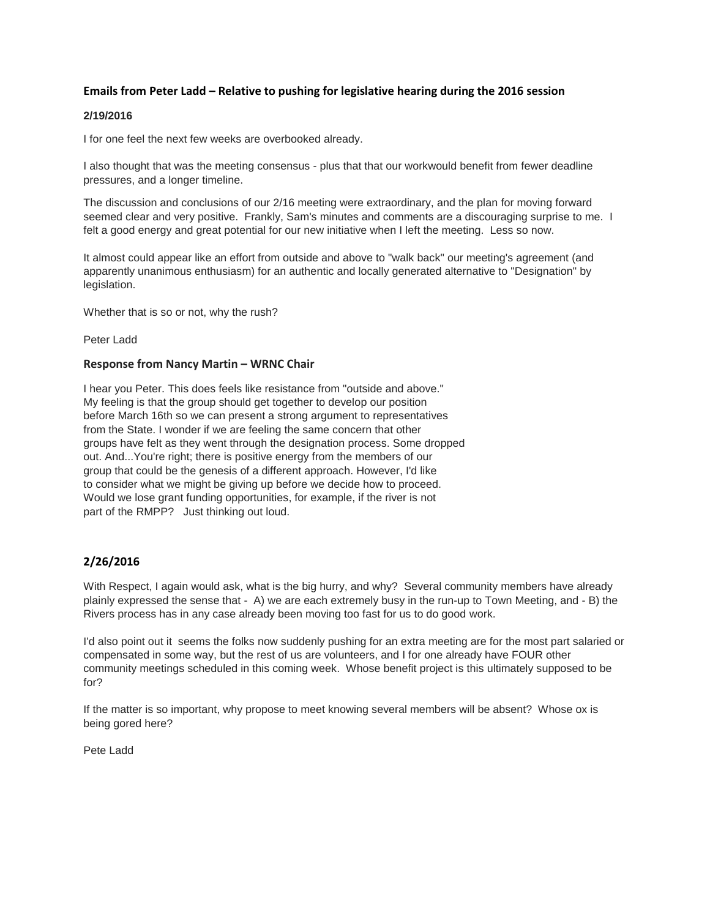# **Emails from Peter Ladd – Relative to pushing for legislative hearing during the 2016 session**

#### **2/19/2016**

I for one feel the next few weeks are overbooked already.

I also thought that was the meeting consensus - plus that that our workwould benefit from fewer deadline pressures, and a longer timeline.

The discussion and conclusions of our 2/16 meeting were extraordinary, and the plan for moving forward seemed clear and very positive. Frankly, Sam's minutes and comments are a discouraging surprise to me. I felt a good energy and great potential for our new initiative when I left the meeting. Less so now.

It almost could appear like an effort from outside and above to "walk back" our meeting's agreement (and apparently unanimous enthusiasm) for an authentic and locally generated alternative to "Designation" by legislation.

Whether that is so or not, why the rush?

Peter Ladd

#### **Response from Nancy Martin – WRNC Chair**

I hear you Peter. This does feels like resistance from "outside and above." My feeling is that the group should get together to develop our position before March 16th so we can present a strong argument to representatives from the State. I wonder if we are feeling the same concern that other groups have felt as they went through the designation process. Some dropped out. And...You're right; there is positive energy from the members of our group that could be the genesis of a different approach. However, I'd like to consider what we might be giving up before we decide how to proceed. Would we lose grant funding opportunities, for example, if the river is not part of the RMPP? Just thinking out loud.

# **2/26/2016**

With Respect, I again would ask, what is the big hurry, and why? Several community members have already plainly expressed the sense that - A) we are each extremely busy in the run-up to Town Meeting, and - B) the Rivers process has in any case already been moving too fast for us to do good work.

I'd also point out it seems the folks now suddenly pushing for an extra meeting are for the most part salaried or compensated in some way, but the rest of us are volunteers, and I for one already have FOUR other community meetings scheduled in this coming week. Whose benefit project is this ultimately supposed to be for?

If the matter is so important, why propose to meet knowing several members will be absent? Whose ox is being gored here?

Pete Ladd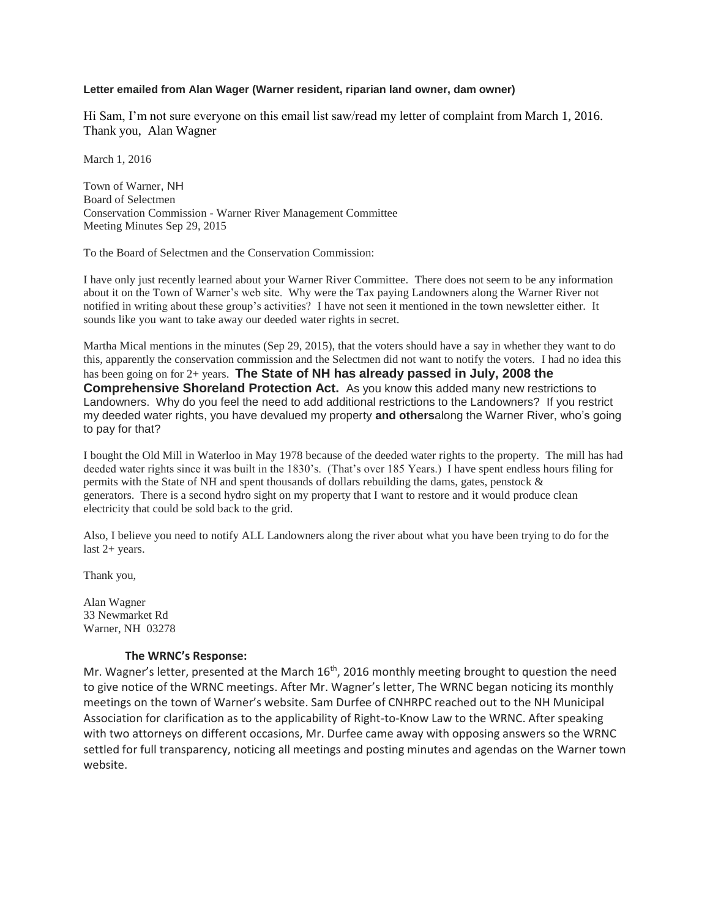## **Letter emailed from Alan Wager (Warner resident, riparian land owner, dam owner)**

Hi Sam, I'm not sure everyone on this email list saw/read my letter of complaint from March 1, 2016. Thank you, Alan Wagner

March 1, 2016

Town of Warner, NH Board of Selectmen Conservation Commission - Warner River Management Committee Meeting Minutes Sep 29, 2015

To the Board of Selectmen and the Conservation Commission:

I have only just recently learned about your Warner River Committee. There does not seem to be any information about it on the Town of Warner's web site. Why were the Tax paying Landowners along the Warner River not notified in writing about these group's activities? I have not seen it mentioned in the town newsletter either. It sounds like you want to take away our deeded water rights in secret.

Martha Mical mentions in the minutes (Sep 29, 2015), that the voters should have a say in whether they want to do this, apparently the conservation commission and the Selectmen did not want to notify the voters. I had no idea this has been going on for 2+ years. **The State of NH has already passed in July, 2008 the Comprehensive Shoreland Protection Act.** As you know this added many new restrictions to Landowners. Why do you feel the need to add additional restrictions to the Landowners? If you restrict my deeded water rights, you have devalued my property **and others**along the Warner River, who's going to pay for that?

I bought the Old Mill in Waterloo in May 1978 because of the deeded water rights to the property. The mill has had deeded water rights since it was built in the 1830's. (That's over 185 Years.) I have spent endless hours filing for permits with the State of NH and spent thousands of dollars rebuilding the dams, gates, penstock & generators. There is a second hydro sight on my property that I want to restore and it would produce clean electricity that could be sold back to the grid.

Also, I believe you need to notify ALL Landowners along the river about what you have been trying to do for the last 2+ years.

Thank you,

Alan Wagner 33 Newmarket Rd Warner, NH 03278

# **The WRNC's Response:**

Mr. Wagner's letter, presented at the March  $16<sup>th</sup>$ , 2016 monthly meeting brought to question the need to give notice of the WRNC meetings. After Mr. Wagner's letter, The WRNC began noticing its monthly meetings on the town of Warner's website. Sam Durfee of CNHRPC reached out to the NH Municipal Association for clarification as to the applicability of Right-to-Know Law to the WRNC. After speaking with two attorneys on different occasions, Mr. Durfee came away with opposing answers so the WRNC settled for full transparency, noticing all meetings and posting minutes and agendas on the Warner town website.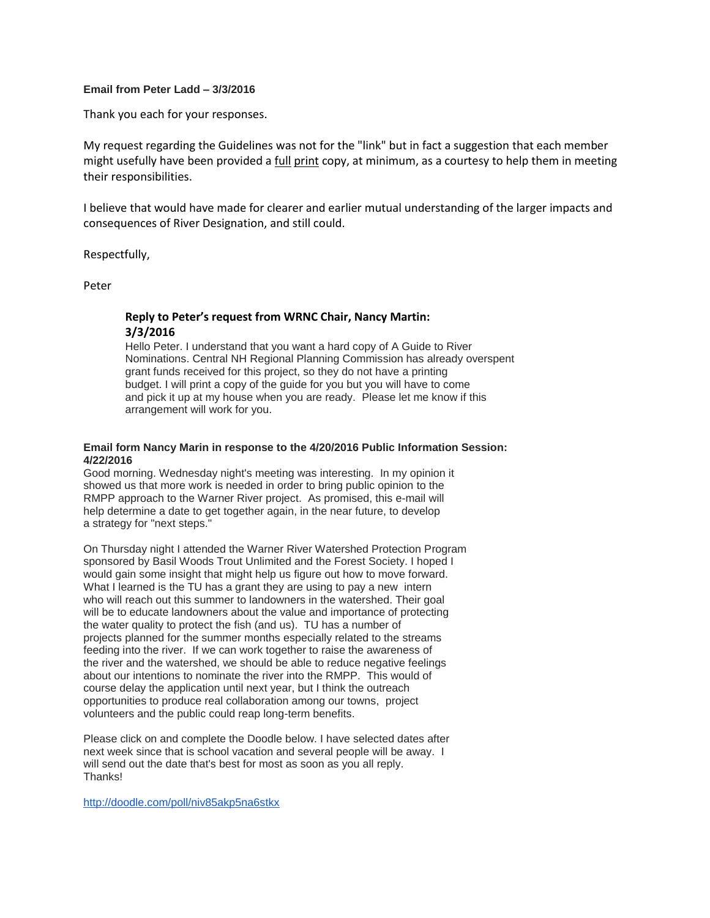#### **Email from Peter Ladd – 3/3/2016**

Thank you each for your responses.

My request regarding the Guidelines was not for the "link" but in fact a suggestion that each member might usefully have been provided a full print copy, at minimum, as a courtesy to help them in meeting their responsibilities.

I believe that would have made for clearer and earlier mutual understanding of the larger impacts and consequences of River Designation, and still could.

Respectfully,

Peter

# **Reply to Peter's request from WRNC Chair, Nancy Martin: 3/3/2016**

Hello Peter. I understand that you want a hard copy of A Guide to River Nominations. Central NH Regional Planning Commission has already overspent grant funds received for this project, so they do not have a printing budget. I will print a copy of the guide for you but you will have to come and pick it up at my house when you are ready. Please let me know if this arrangement will work for you.

#### **Email form Nancy Marin in response to the 4/20/2016 Public Information Session: 4/22/2016**

Good morning. Wednesday night's meeting was interesting. In my opinion it showed us that more work is needed in order to bring public opinion to the RMPP approach to the Warner River project. As promised, this e-mail will help determine a date to get together again, in the near future, to develop a strategy for "next steps."

On Thursday night I attended the Warner River Watershed Protection Program sponsored by Basil Woods Trout Unlimited and the Forest Society. I hoped I would gain some insight that might help us figure out how to move forward. What I learned is the TU has a grant they are using to pay a new intern who will reach out this summer to landowners in the watershed. Their goal will be to educate landowners about the value and importance of protecting the water quality to protect the fish (and us). TU has a number of projects planned for the summer months especially related to the streams feeding into the river. If we can work together to raise the awareness of the river and the watershed, we should be able to reduce negative feelings about our intentions to nominate the river into the RMPP. This would of course delay the application until next year, but I think the outreach opportunities to produce real collaboration among our towns, project volunteers and the public could reap long-term benefits.

Please click on and complete the Doodle below. I have selected dates after next week since that is school vacation and several people will be away. I will send out the date that's best for most as soon as you all reply. Thanks!

<http://doodle.com/poll/niv85akp5na6stkx>